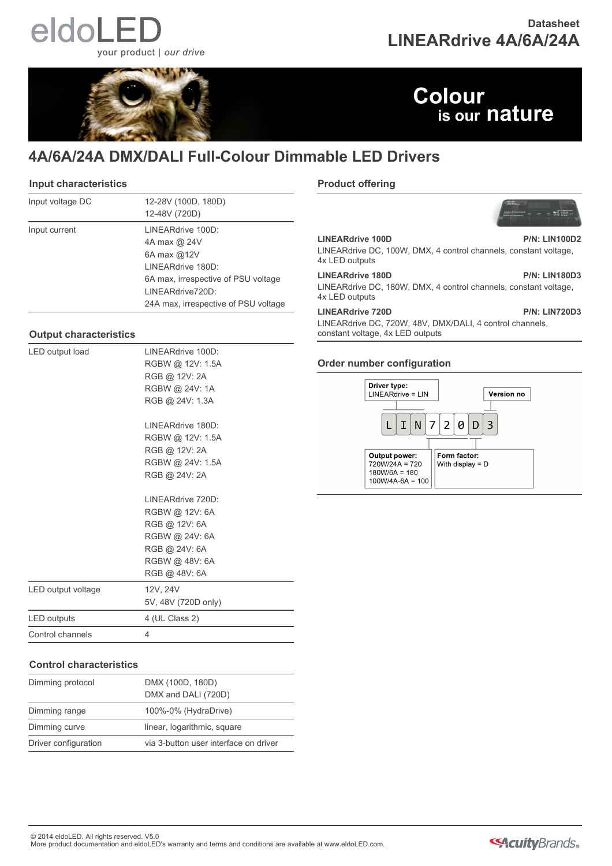# eldoL your product | our drive

### **Datasheet LINEARdrive 4A/6A/24A**



### **Colour** is our nature

### **4A/6A/24A DMX/DALI Full-Colour Dimmable LED Drivers**

#### **Input characteristics**

| Input voltage DC | 12-28V (100D, 180D)<br>12-48V (720D) |
|------------------|--------------------------------------|
| Input current    | LINEARdrive 100D:                    |
|                  | 4A max @ 24V                         |
|                  | 6A max $@12V$                        |
|                  | LINEARdrive 180D:                    |
|                  | 6A max, irrespective of PSU voltage  |
|                  | LINEARdrive720D:                     |
|                  | 24A max, irrespective of PSU voltage |

### **Output characteristics**

| LED output load    | I INFARdrive 100D:  |  |
|--------------------|---------------------|--|
|                    | RGBW @ 12V: 1.5A    |  |
|                    | RGB @ 12V: 2A       |  |
|                    | RGBW @ 24V: 1A      |  |
|                    | RGB @ 24V: 1.3A     |  |
|                    | LINEARdrive 180D:   |  |
|                    | RGBW @ 12V: 1.5A    |  |
|                    | RGB @ 12V: 2A       |  |
|                    | RGBW @ 24V: 1.5A    |  |
|                    | RGB @ 24V: 2A       |  |
|                    | I INFARdrive 720D:  |  |
|                    | RGBW @ 12V: 6A      |  |
|                    | RGB @ 12V: 6A       |  |
|                    | RGBW @ 24V: 6A      |  |
|                    | RGB @ 24V: 6A       |  |
|                    | RGBW @ 48V: 6A      |  |
|                    | RGB @ 48V: 6A       |  |
| LED output voltage | 12V, 24V            |  |
|                    | 5V, 48V (720D only) |  |
| LED outputs        | 4 (UL Class 2)      |  |
| Control channels   | 4                   |  |
|                    |                     |  |

### **Control characteristics**

| Dimming protocol     | DMX (100D, 180D)<br>DMX and DALI (720D) |
|----------------------|-----------------------------------------|
| Dimming range        | 100%-0% (HydraDrive)                    |
| Dimming curve        | linear, logarithmic, square             |
| Driver configuration | via 3-button user interface on driver   |

### **Product offering**



**LINEARdrive 100D P/N: LIN100D2** LINEARdrive DC, 100W, DMX, 4 control channels, constant voltage, 4x LED outputs

**LINEARdrive 180D P/N: LIN180D3** LINEARdrive DC, 180W, DMX, 4 control channels, constant voltage, 4x LED outputs

**LINEARdrive 720D P/N: LIN720D3**

LINEARdrive DC, 720W, 48V, DMX/DALI, 4 control channels, constant voltage, 4x LED outputs

### **Order number configuration**